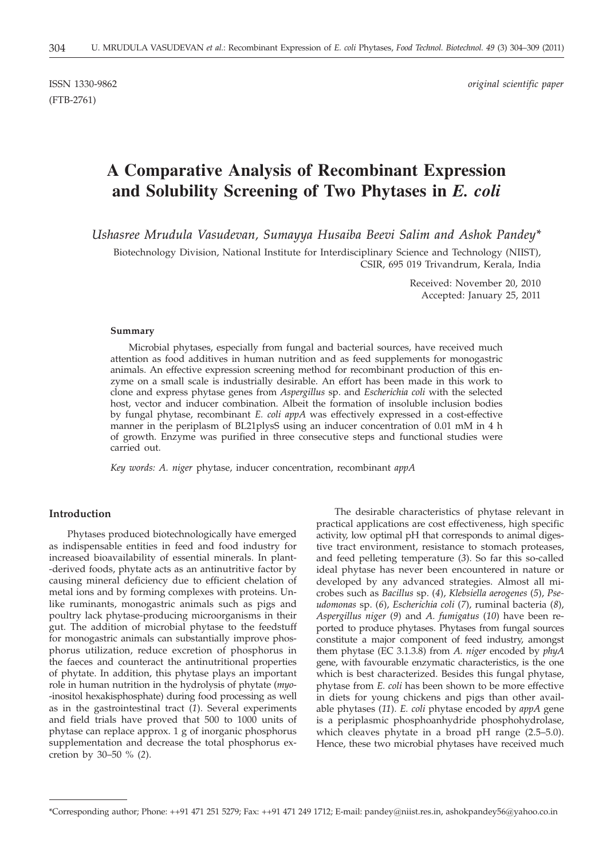(FTB-2761)

ISSN 1330-9862 *original scientific paper*

# **A Comparative Analysis of Recombinant Expression and Solubility Screening of Two Phytases in** *E. coli*

*Ushasree Mrudula Vasudevan, Sumayya Husaiba Beevi Salim and Ashok Pandey\**

Biotechnology Division, National Institute for Interdisciplinary Science and Technology (NIIST), CSIR, 695 019 Trivandrum, Kerala, India

> Received: November 20, 2010 Accepted: January 25, 2011

#### **Summary**

Microbial phytases, especially from fungal and bacterial sources, have received much attention as food additives in human nutrition and as feed supplements for monogastric animals. An effective expression screening method for recombinant production of this enzyme on a small scale is industrially desirable. An effort has been made in this work to clone and express phytase genes from *Aspergillus* sp. and *Escherichia coli* with the selected host, vector and inducer combination. Albeit the formation of insoluble inclusion bodies by fungal phytase, recombinant *E. coli appA* was effectively expressed in a cost-effective manner in the periplasm of BL21plysS using an inducer concentration of 0.01 mM in 4 h of growth. Enzyme was purified in three consecutive steps and functional studies were carried out.

*Key words: A. niger* phytase, inducer concentration, recombinant *appA*

### **Introduction**

Phytases produced biotechnologically have emerged as indispensable entities in feed and food industry for increased bioavailability of essential minerals. In plant- -derived foods, phytate acts as an antinutritive factor by causing mineral deficiency due to efficient chelation of metal ions and by forming complexes with proteins. Unlike ruminants, monogastric animals such as pigs and poultry lack phytase-producing microorganisms in their gut. The addition of microbial phytase to the feedstuff for monogastric animals can substantially improve phosphorus utilization, reduce excretion of phosphorus in the faeces and counteract the antinutritional properties of phytate. In addition, this phytase plays an important role in human nutrition in the hydrolysis of phytate (*myo*- -inositol hexakisphosphate) during food processing as well as in the gastrointestinal tract (*1*). Several experiments and field trials have proved that 500 to 1000 units of phytase can replace approx. 1 g of inorganic phosphorus supplementation and decrease the total phosphorus excretion by 30–50 % (*2*).

The desirable characteristics of phytase relevant in practical applications are cost effectiveness, high specific activity, low optimal pH that corresponds to animal digestive tract environment, resistance to stomach proteases, and feed pelleting temperature (*3*). So far this so-called ideal phytase has never been encountered in nature or developed by any advanced strategies. Almost all microbes such as *Bacillus* sp. (*4*), *Klebsiella aerogenes* (*5*), *Pseudomonas* sp. (*6*), *Escherichia coli* (*7*), ruminal bacteria (*8*), *Aspergillus niger* (*9*) and *A. fumigatus* (*10*) have been reported to produce phytases. Phytases from fungal sources constitute a major component of feed industry, amongst them phytase (EC 3.1.3.8) from *A. niger* encoded by *phyA* gene, with favourable enzymatic characteristics, is the one which is best characterized. Besides this fungal phytase, phytase from *E. coli* has been shown to be more effective in diets for young chickens and pigs than other available phytases (*11*). *E. coli* phytase encoded by *appA* gene is a periplasmic phosphoanhydride phosphohydrolase, which cleaves phytate in a broad pH range (2.5–5.0). Hence, these two microbial phytases have received much

<sup>\*</sup>Corresponding author; Phone: ++91 471 251 5279; Fax: ++91 471 249 1712; E-mail: pandey@niist.res.in, ashokpandey56@yahoo.co.in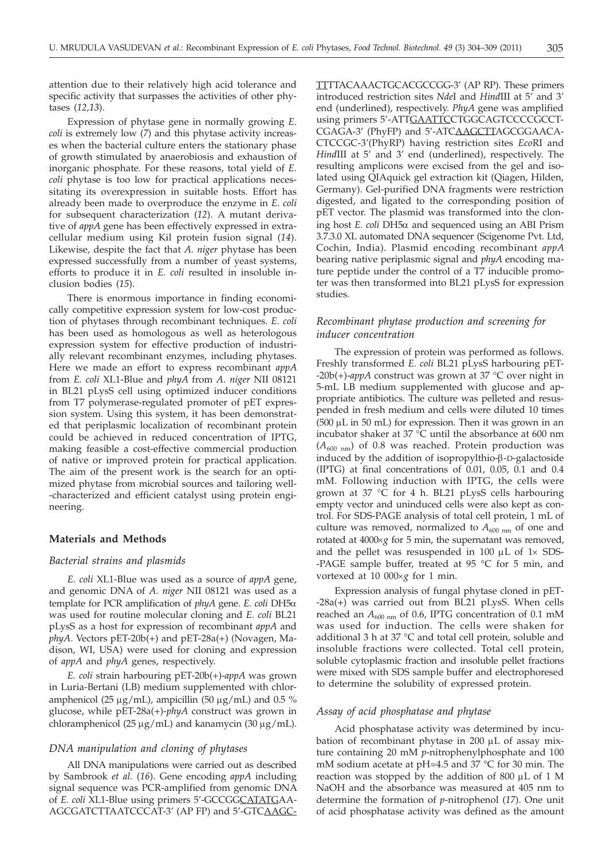attention due to their relatively high acid tolerance and specific activity that surpasses the activities of other phytases (*12,13*).

Expression of phytase gene in normally growing *E. coli* is extremely low (*7*) and this phytase activity increases when the bacterial culture enters the stationary phase of growth stimulated by anaerobiosis and exhaustion of inorganic phosphate. For these reasons, total yield of *E. coli* phytase is too low for practical applications necessitating its overexpression in suitable hosts. Effort has already been made to overproduce the enzyme in *E. coli* for subsequent characterization (*12*). A mutant derivative of *appA* gene has been effectively expressed in extracellular medium using Kil protein fusion signal (*14*). Likewise, despite the fact that *A. niger* phytase has been expressed successfully from a number of yeast systems, efforts to produce it in *E. coli* resulted in insoluble inclusion bodies (*15*).

There is enormous importance in finding economically competitive expression system for low-cost production of phytases through recombinant techniques. *E. coli* has been used as homologous as well as heterologous expression system for effective production of industrially relevant recombinant enzymes, including phytases. Here we made an effort to express recombinant *appA* from *E. coli* XL1-Blue and *phyA* from *A. niger* NII 08121 in BL21 pLysS cell using optimized inducer conditions from T7 polymerase-regulated promoter of pET expression system. Using this system, it has been demonstrated that periplasmic localization of recombinant protein could be achieved in reduced concentration of IPTG, making feasible a cost-effective commercial production of native or improved protein for practical application. The aim of the present work is the search for an optimized phytase from microbial sources and tailoring well- -characterized and efficient catalyst using protein engineering.

### **Materials and Methods**

## *Bacterial strains and plasmids*

*E. coli* XL1-Blue was used as a source of *appA* gene, and genomic DNA of *A. niger* NII 08121 was used as a template for PCR amplification of *phyA* gene. *E. coli* DH5a was used for routine molecular cloning and *E. coli* BL21 pLysS as a host for expression of recombinant *appA* and *phyA*. Vectors pET-20b(+) and pET-28a(+) (Novagen, Madison, WI, USA) were used for cloning and expression of *appA* and *phyA* genes, respectively.

*E. coli* strain harbouring pET-20b(+)-*appA* was grown in Luria-Bertani (LB) medium supplemented with chloramphenicol (25  $\mu$ g/mL), ampicillin (50  $\mu$ g/mL) and 0.5 % glucose, while pET-28a(+)-*phyA* construct was grown in chloramphenicol (25  $\mu$ g/mL) and kanamycin (30  $\mu$ g/mL).

#### *DNA manipulation and cloning of phytases*

All DNA manipulations were carried out as described by Sambrook *et al.* (*16*). Gene encoding *appA* including signal sequence was PCR-amplified from genomic DNA of *E. coli* XL1-Blue using primers 5'-GCCGGCATATGAA-AGCGATCTTAATCCCAT-3' (AP FP) and 5'-GTCAAGC- TTTTACAAACTGCACGCCGG-3' (AP RP). These primers introduced restriction sites *Nde*I and *Hind*III at 5' and 3' end (underlined), respectively. *PhyA* gene was amplified using primers 5'-ATTGAATTCCTGGCAGTCCCCGCCT-CGAGA-3' (PhyFP) and 5'-ATCAAGCTTAGCGGAACA-CTCCGC-3'(PhyRP) having restriction sites *Eco*RI and *Hind*III at 5' and 3' end (underlined), respectively. The resulting amplicons were excised from the gel and isolated using QIAquick gel extraction kit (Qiagen, Hilden, Germany). Gel-purified DNA fragments were restriction digested, and ligated to the corresponding position of pET vector. The plasmid was transformed into the cloning host *E. coli* DH5a and sequenced using an ABI Prism 3.7.3.0 XL automated DNA sequencer (Scigenome Pvt. Ltd, Cochin, India). Plasmid encoding recombinant *appA* bearing native periplasmic signal and *phyA* encoding mature peptide under the control of a T7 inducible promoter was then transformed into BL21 pLysS for expression studies.

## *Recombinant phytase production and screening for inducer concentration*

The expression of protein was performed as follows. Freshly transformed *E. coli* BL21 pLysS harbouring pET- -20b(+)-*appA* construct was grown at 37 °C over night in 5-mL LB medium supplemented with glucose and appropriate antibiotics. The culture was pelleted and resuspended in fresh medium and cells were diluted 10 times  $(500 \mu L \text{ in } 50 \text{ mL})$  for expression. Then it was grown in an incubator shaker at 37 °C until the absorbance at 600 nm  $(A_{600 \text{ nm}})$  of 0.8 was reached. Protein production was induced by the addition of isopropylthio- $\beta$ -D-galactoside (IPTG) at final concentrations of 0.01, 0.05, 0.1 and 0.4 mM. Following induction with IPTG, the cells were grown at 37 °C for 4 h. BL21 pLysS cells harbouring empty vector and uninduced cells were also kept as control. For SDS-PAGE analysis of total cell protein, 1 mL of culture was removed, normalized to  $A_{600 \text{ nm}}$  of one and rotated at  $4000 \times g$  for 5 min, the supernatant was removed, and the pellet was resuspended in 100  $\mu$ L of 1 $\times$  SDS--PAGE sample buffer, treated at 95 °C for 5 min, and vortexed at 10  $000 \times g$  for 1 min.

Expression analysis of fungal phytase cloned in pET- -28a(*+*) was carried out from BL21 pLysS. When cells reached an  $A_{600 \text{ nm}}$  of 0.6, IPTG concentration of 0.1 mM was used for induction. The cells were shaken for additional 3 h at 37 °C and total cell protein, soluble and insoluble fractions were collected. Total cell protein, soluble cytoplasmic fraction and insoluble pellet fractions were mixed with SDS sample buffer and electrophoresed to determine the solubility of expressed protein.

#### *Assay of acid phosphatase and phytase*

Acid phosphatase activity was determined by incubation of recombinant phytase in 200  $\mu$ L of assay mixture containing 20 mM *p*-nitrophenylphosphate and 100 mM sodium acetate at pH=4.5 and 37 °C for 30 min. The reaction was stopped by the addition of  $800 \mu L$  of 1 M NaOH and the absorbance was measured at 405 nm to determine the formation of *p*-nitrophenol (*17*). One unit of acid phosphatase activity was defined as the amount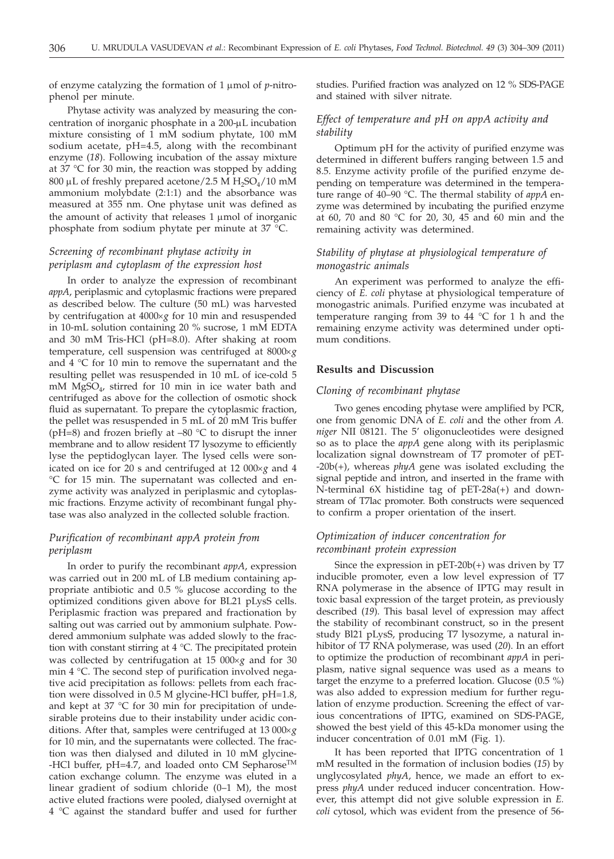of enzyme catalyzing the formation of 1 µmol of *p*-nitrophenol per minute.

Phytase activity was analyzed by measuring the concentration of inorganic phosphate in a 200-µL incubation mixture consisting of 1 mM sodium phytate, 100 mM sodium acetate, pH=4.5, along with the recombinant enzyme (*18*). Following incubation of the assay mixture at 37 °C for 30 min, the reaction was stopped by adding 800 µL of freshly prepared acetone/2.5 M  $H_2SO_4/10$  mM ammonium molybdate (2:1:1) and the absorbance was measured at 355 nm. One phytase unit was defined as the amount of activity that releases  $1 \mu$ mol of inorganic phosphate from sodium phytate per minute at 37 °C.

# *Screening of recombinant phytase activity in periplasm and cytoplasm of the expression host*

In order to analyze the expression of recombinant *appA*, periplasmic and cytoplasmic fractions were prepared as described below. The culture (50 mL) was harvested by centrifugation at 4000×g for 10 min and resuspended in 10-mL solution containing 20 % sucrose, 1 mM EDTA and 30 mM Tris-HCl (pH=8.0). After shaking at room temperature, cell suspension was centrifuged at  $8000 \times g$ and 4 °C for 10 min to remove the supernatant and the resulting pellet was resuspended in 10 mL of ice-cold 5 mM MgSO4, stirred for 10 min in ice water bath and centrifuged as above for the collection of osmotic shock fluid as supernatant. To prepare the cytoplasmic fraction, the pellet was resuspended in 5 mL of 20 mM Tris buffer (pH=8) and frozen briefly at  $-80$  °C to disrupt the inner membrane and to allow resident T7 lysozyme to efficiently lyse the peptidoglycan layer. The lysed cells were sonicated on ice for 20 s and centrifuged at 12 000×g and 4 °C for 15 min. The supernatant was collected and enzyme activity was analyzed in periplasmic and cytoplasmic fractions. Enzyme activity of recombinant fungal phytase was also analyzed in the collected soluble fraction.

# *Purification of recombinant appA protein from periplasm*

In order to purify the recombinant *appA*, expression was carried out in 200 mL of LB medium containing appropriate antibiotic and 0.5 % glucose according to the optimized conditions given above for BL21 pLysS cells. Periplasmic fraction was prepared and fractionation by salting out was carried out by ammonium sulphate. Powdered ammonium sulphate was added slowly to the fraction with constant stirring at 4 °C. The precipitated protein was collected by centrifugation at 15 000×g and for 30 min 4 °C. The second step of purification involved negative acid precipitation as follows: pellets from each fraction were dissolved in 0.5 M glycine-HCl buffer, pH=1.8, and kept at 37 °C for 30 min for precipitation of undesirable proteins due to their instability under acidic conditions. After that, samples were centrifuged at 13 000´*<sup>g</sup>* for 10 min, and the supernatants were collected. The fraction was then dialysed and diluted in 10 mM glycine- -HCl buffer, pH=4.7, and loaded onto CM Sepharose<sup>TM</sup> cation exchange column. The enzyme was eluted in a linear gradient of sodium chloride (0–1 M), the most active eluted fractions were pooled, dialysed overnight at 4 °C against the standard buffer and used for further

studies. Purified fraction was analyzed on 12 % SDS-PAGE and stained with silver nitrate.

# *Effect of temperature and pH on appA activity and stability*

Optimum pH for the activity of purified enzyme was determined in different buffers ranging between 1.5 and 8.5. Enzyme activity profile of the purified enzyme depending on temperature was determined in the temperature range of 40–90 °C. The thermal stability of *appA* enzyme was determined by incubating the purified enzyme at 60, 70 and 80 °C for 20, 30, 45 and 60 min and the remaining activity was determined.

# *Stability of phytase at physiological temperature of monogastric animals*

An experiment was performed to analyze the efficiency of *E. coli* phytase at physiological temperature of monogastric animals. Purified enzyme was incubated at temperature ranging from 39 to 44 °C for 1 h and the remaining enzyme activity was determined under optimum conditions.

## **Results and Discussion**

#### *Cloning of recombinant phytase*

Two genes encoding phytase were amplified by PCR, one from genomic DNA of *E. coli* and the other from *A. niger* NII 08121. The 5' oligonucleotides were designed so as to place the *appA* gene along with its periplasmic localization signal downstream of T7 promoter of pET- -20b(+), whereas *phyA* gene was isolated excluding the signal peptide and intron, and inserted in the frame with N-terminal 6X histidine tag of pET-28a(+) and downstream of T7lac promoter. Both constructs were sequenced to confirm a proper orientation of the insert.

# *Optimization of inducer concentration for recombinant protein expression*

Since the expression in pET-20b(+) was driven by T7 inducible promoter, even a low level expression of T7 RNA polymerase in the absence of IPTG may result in toxic basal expression of the target protein, as previously described (*19*). This basal level of expression may affect the stability of recombinant construct, so in the present study Bl21 pLysS, producing T7 lysozyme, a natural inhibitor of T7 RNA polymerase, was used (*20*). In an effort to optimize the production of recombinant *appA* in periplasm, native signal sequence was used as a means to target the enzyme to a preferred location. Glucose (0.5 %) was also added to expression medium for further regulation of enzyme production. Screening the effect of various concentrations of IPTG, examined on SDS-PAGE, showed the best yield of this 45-kDa monomer using the inducer concentration of 0.01 mM (Fig. 1).

It has been reported that IPTG concentration of 1 mM resulted in the formation of inclusion bodies (*15*) by unglycosylated *phyA*, hence, we made an effort to express *phyA* under reduced inducer concentration. However, this attempt did not give soluble expression in *E. coli* cytosol, which was evident from the presence of 56-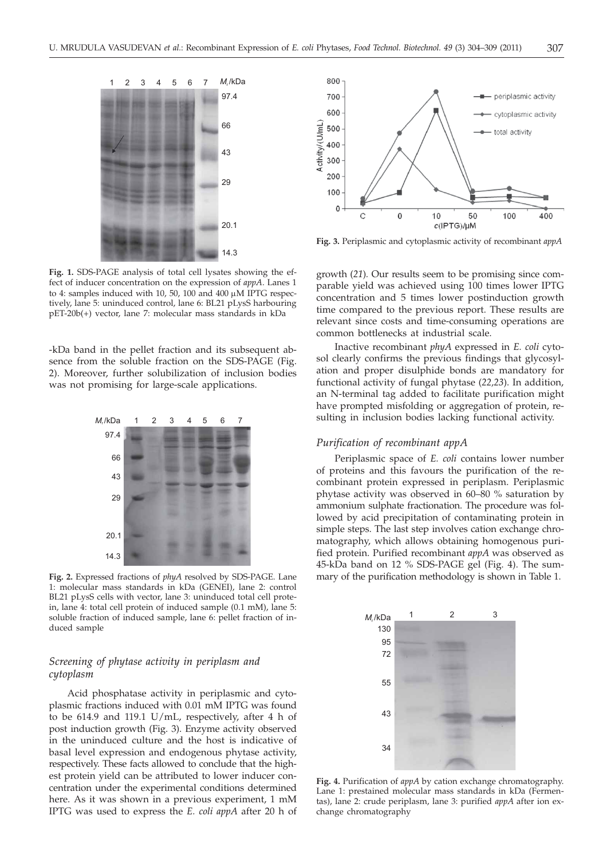

**Fig. 1.** SDS-PAGE analysis of total cell lysates showing the effect of inducer concentration on the expression of *appA*. Lanes 1 to 4: samples induced with 10, 50, 100 and 400  $\mu$ M IPTG respectively, lane 5: uninduced control, lane 6: BL21 pLysS harbouring pET-20b(+) vector, lane 7: molecular mass standards in kDa

-kDa band in the pellet fraction and its subsequent absence from the soluble fraction on the SDS-PAGE (Fig. 2). Moreover, further solubilization of inclusion bodies was not promising for large-scale applications.



**Fig. 2.** Expressed fractions of *phyA* resolved by SDS-PAGE. Lane 1: molecular mass standards in kDa (GENEI), lane 2: control BL21 pLysS cells with vector, lane 3: uninduced total cell protein, lane 4: total cell protein of induced sample (0.1 mM), lane 5: soluble fraction of induced sample, lane 6: pellet fraction of induced sample

# *Screening of phytase activity in periplasm and cytoplasm*

Acid phosphatase activity in periplasmic and cytoplasmic fractions induced with 0.01 mM IPTG was found to be 614.9 and 119.1 U/mL, respectively, after 4 h of post induction growth (Fig. 3). Enzyme activity observed in the uninduced culture and the host is indicative of basal level expression and endogenous phytase activity, respectively. These facts allowed to conclude that the highest protein yield can be attributed to lower inducer concentration under the experimental conditions determined here. As it was shown in a previous experiment, 1 mM IPTG was used to express the *E. coli appA* after 20 h of



**Fig. 3.** Periplasmic and cytoplasmic activity of recombinant *appA*

growth (*21*)*.* Our results seem to be promising since comparable yield was achieved using 100 times lower IPTG concentration and 5 times lower postinduction growth time compared to the previous report. These results are relevant since costs and time-consuming operations are common bottlenecks at industrial scale.

Inactive recombinant *phyA* expressed in *E. coli* cytosol clearly confirms the previous findings that glycosylation and proper disulphide bonds are mandatory for functional activity of fungal phytase (*22,23*). In addition, an N-terminal tag added to facilitate purification might have prompted misfolding or aggregation of protein, resulting in inclusion bodies lacking functional activity.

## *Purification of recombinant appA*

Periplasmic space of *E. coli* contains lower number of proteins and this favours the purification of the recombinant protein expressed in periplasm. Periplasmic phytase activity was observed in 60–80 % saturation by ammonium sulphate fractionation. The procedure was followed by acid precipitation of contaminating protein in simple steps. The last step involves cation exchange chromatography, which allows obtaining homogenous purified protein. Purified recombinant *appA* was observed as 45-kDa band on 12 % SDS-PAGE gel (Fig. 4). The summary of the purification methodology is shown in Table 1.



**Fig. 4.** Purification of *appA* by cation exchange chromatography. Lane 1: prestained molecular mass standards in kDa (Fermentas), lane 2: crude periplasm, lane 3: purified *appA* after ion exchange chromatography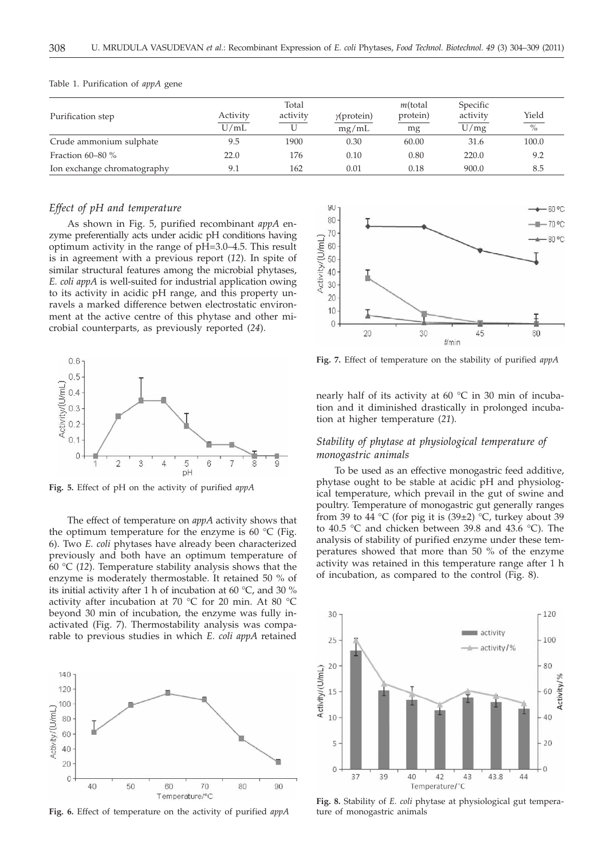|                             |                  | Total    |                             | $m$ (total     | Specific         |                               |
|-----------------------------|------------------|----------|-----------------------------|----------------|------------------|-------------------------------|
| Purification step           | Activity<br>U/mL | activity | $\gamma$ (protein)<br>mg/mL | protein)<br>mg | activity<br>U/mg | Yield<br>$\frac{0}{\sqrt{2}}$ |
|                             |                  |          |                             |                |                  |                               |
| Fraction $60-80\%$          | 22.0             | 176      | 0.10                        | 0.80           | 220.0            | 9.2                           |
| Ion exchange chromatography | 9.1              | 162      | 0.01                        | 0.18           | 900.0            | 8.5                           |

#### Table 1. Purification of *appA* gene

## *Effect of pH and temperature*

As shown in Fig. 5, purified recombinant *appA* enzyme preferentially acts under acidic pH conditions having optimum activity in the range of pH=3.0–4.5. This result is in agreement with a previous report (*12*). In spite of similar structural features among the microbial phytases, *E. coli appA* is well-suited for industrial application owing to its activity in acidic pH range, and this property unravels a marked difference betwen electrostatic environment at the active centre of this phytase and other microbial counterparts, as previously reported (*24*).



**Fig. 5.** Effect of pH on the activity of purified *appA*

The effect of temperature on *appA* activity shows that the optimum temperature for the enzyme is 60  $^{\circ}$ C (Fig. 6). Two *E. coli* phytases have already been characterized previously and both have an optimum temperature of 60 °C (*12*). Temperature stability analysis shows that the enzyme is moderately thermostable. It retained 50 % of its initial activity after 1 h of incubation at 60 °C, and 30 % activity after incubation at 70 °C for 20 min. At 80 °C beyond 30 min of incubation, the enzyme was fully inactivated (Fig. 7). Thermostability analysis was comparable to previous studies in which *E. coli appA* retained



**Fig. 6.** Effect of temperature on the activity of purified *appA*



**Fig. 7.** Effect of temperature on the stability of purified *appA*

nearly half of its activity at 60 °C in 30 min of incubation and it diminished drastically in prolonged incubation at higher temperature (*21*).

## *Stability of phytase at physiological temperature of monogastric animals*

To be used as an effective monogastric feed additive, phytase ought to be stable at acidic pH and physiological temperature, which prevail in the gut of swine and poultry. Temperature of monogastric gut generally ranges from 39 to 44 °C (for pig it is  $(39±2)$  °C, turkey about 39 to 40.5 °C and chicken between 39.8 and 43.6 °C). The analysis of stability of purified enzyme under these temperatures showed that more than 50 % of the enzyme activity was retained in this temperature range after 1 h of incubation, as compared to the control (Fig. 8).



**Fig. 8.** Stability of *E. coli* phytase at physiological gut temperature of monogastric animals